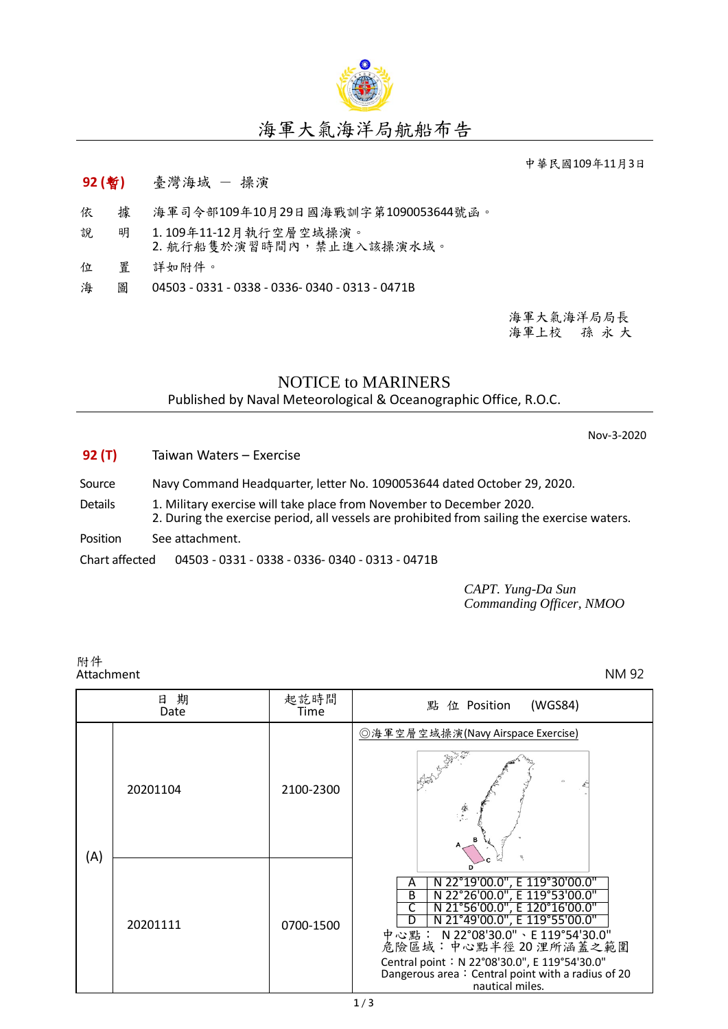

## 海軍大氣海洋局航船布告

中華民國109年11月3日

- **92 (**暫**)** 臺灣海域 操演
- 依 據 海軍司令部109年10月29日國海戰訓字第1090053644號函。
- 說 明 1.109年11-12月執行空層空域操演。<br>2. 航行船隻於演習時間內,禁止進入該操演水域。
- 位 置 詳如附件。
- 海 圖 04503 0331 0338 0336- 0340 0313 0471B

海軍大氣海洋局局長 海軍上校 孫 永 大

## NOTICE to MARINERS Published by Naval Meteorological & Oceanographic Office, R.O.C.

Nov-3-2020

- **92 (T)** Taiwan Waters Exercise
- Source Navy Command Headquarter, letter No. 1090053644 dated October 29, 2020.
- Details 1. Military exercise will take place from November to December 2020.
- 2. During the exercise period, all vessels are prohibited from sailing the exercise waters.
- Position See attachment.

Chart affected 04503 - 0331 - 0338 - 0336- 0340 - 0313 - 0471B

*CAPT. Yung-Da Sun Commanding Officer, NMOO*

附件<br>Attachment Attachment NM 92

| 期<br>日<br>Date |          | 起訖時間<br>Time | (WGS84)<br>點 位 Position                                                                                                                                                                                                                                                                                                        |
|----------------|----------|--------------|--------------------------------------------------------------------------------------------------------------------------------------------------------------------------------------------------------------------------------------------------------------------------------------------------------------------------------|
| (A)            | 20201104 | 2100-2300    | ◎海軍空層空域操演(Navy Airspace Exercise)<br>学                                                                                                                                                                                                                                                                                         |
|                | 20201111 | 0700-1500    | N 22°19'00.0", E 119°30'00.0"<br>A<br>N 22°26'00.0", E 119°53'00.0"<br>B<br>N 21°56'00.0", E 120°16'00.0"<br>N 21°49'00.0", E 119°55'00.0"<br>中心點: N 22°08'30.0"、E 119°54'30.0"<br>危險區域:中心點半徑20浬所涵蓋之範圍<br>Central point: N 22°08'30.0", E 119°54'30.0"<br>Dangerous area: Central point with a radius of 20<br>nautical miles. |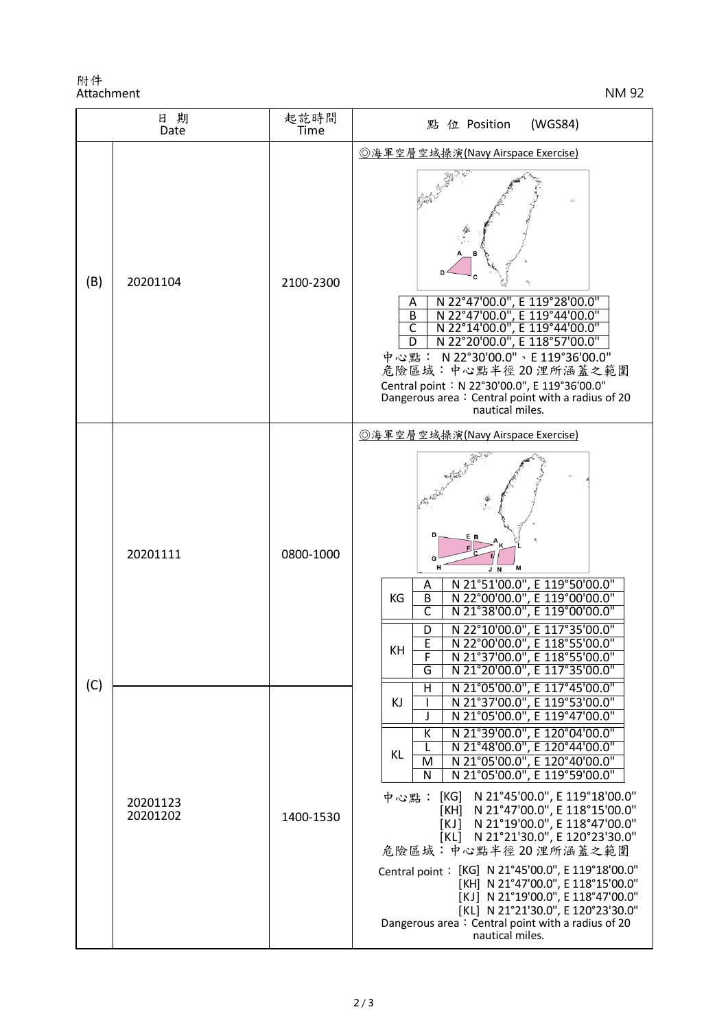附件 Attachment NM 92

| 日期<br>Date                              |           | 起訖時間<br>Time                                                                                                                                                                                                                                                                                                                                         | (WGS84)<br>點 位 Position                                                                                                                                                                                                                                                                                                                                                                                                                                                                                                                                                                                                                                                                                             |
|-----------------------------------------|-----------|------------------------------------------------------------------------------------------------------------------------------------------------------------------------------------------------------------------------------------------------------------------------------------------------------------------------------------------------------|---------------------------------------------------------------------------------------------------------------------------------------------------------------------------------------------------------------------------------------------------------------------------------------------------------------------------------------------------------------------------------------------------------------------------------------------------------------------------------------------------------------------------------------------------------------------------------------------------------------------------------------------------------------------------------------------------------------------|
| (B)                                     | 20201104  | 2100-2300                                                                                                                                                                                                                                                                                                                                            | ◎海軍空層空域操演(Navy Airspace Exercise)<br>N 22°47'00.0", E 119°28'00.0"<br>Α<br>B<br>N 22°47'00.0",<br>E 119°44'00.0"<br>C<br>22°14'00.0"<br>, E 119°44'00.0"<br>N 22°20'00.0", E 118°57'00.0"<br>D<br>中心點: N 22°30'00.0"、E 119°36'00.0"<br>危險區域:中心點半徑20浬所涵蓋之範圍<br>Central point: N 22°30'00.0", E 119°36'00.0"<br>Dangerous area: Central point with a radius of 20<br>nautical miles.                                                                                                                                                                                                                                                                                                                                  |
| 20201111<br>(C)<br>20201123<br>20201202 | 0800-1000 | ◎海軍空層空域操演(Navy Airspace Exercise)<br>D<br>E B<br>G<br>M<br>J N<br>N 21°51'00.0", E 119°50'00.0"<br>N 22°00'00.0", E 119°00'00.0"<br>Α<br>KG<br>B<br>N 21°38'00.0", E 119°00'00.0"<br>C<br>N 22°10'00.0", E 117°35'00.0"<br>D<br>E<br>N 22°00'00.0", E 118°55'00.0"<br>KH<br>N 21°37'00.0", E 118°55'00.0"<br>F<br>N 21°20'00.0", E 117°35'00.0"<br>G |                                                                                                                                                                                                                                                                                                                                                                                                                                                                                                                                                                                                                                                                                                                     |
|                                         |           | 1400-1530                                                                                                                                                                                                                                                                                                                                            | N 21°05'00.0", E 117°45'00.0"<br>Η<br>N 21°37'00.0", E 119°53'00.0"<br>KJ<br>ı<br>N 21°05'00.0", E 119°47'00.0"<br>N 21°39'00.0", E 120°04'00.0"<br>К<br>N 21°48'00.0", E 120°44'00.0"<br>KL<br>N 21°05'00.0", E 120°40'00.0"<br>M<br>N 21°05'00.0", E 119°59'00.0"<br>N<br>[KG] N 21°45'00.0", E 119°18'00.0"<br>[KH] N 21°47'00.0", E 118°15'00.0"<br>中心點: [KG]<br>[KJ] N 21°19'00.0", E 118°47'00.0"<br>[KL] N 21°21'30.0", E 120°23'30.0"<br>危險區域:中心點半徑20浬所涵蓋之範圍<br>Central point: [KG] N 21°45'00.0", E 119°18'00.0"<br>[KH] N 21°47'00.0", E 118°15'00.0"<br>[KJ] N 21°19'00.0", E 118°47'00.0"<br>[KL] N 21°21'30.0", E 120°23'30.0"<br>Dangerous area: Central point with a radius of 20<br>nautical miles. |